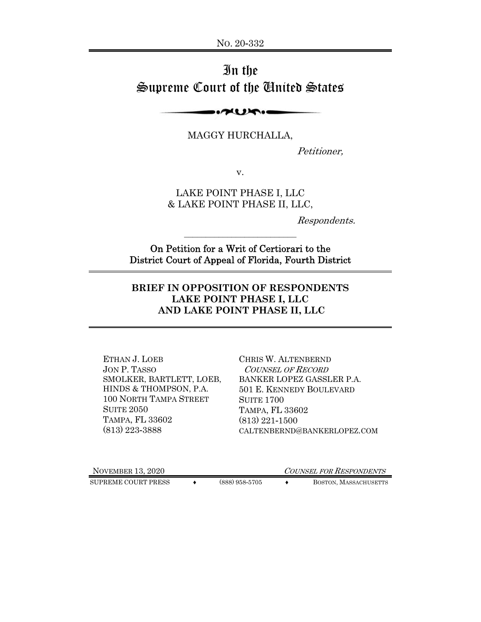# In the Supreme Court of the United States

**PULLED** 

MAGGY HURCHALLA,

Petitioner,

v.

LAKE POINT PHASE I, LLC & LAKE POINT PHASE II, LLC,

Respondents.

On Petition for a Writ of Certiorari to the District Court of Appeal of Florida, Fourth District

 $\mathcal{L}_\text{max}$ 

#### **BRIEF IN OPPOSITION OF RESPONDENTS LAKE POINT PHASE I, LLC AND LAKE POINT PHASE II, LLC**

ETHAN J. LOEB JON P. TASSO SMOLKER, BARTLETT, LOEB, HINDS & THOMPSON, P.A. 100 NORTH TAMPA STREET SUITE 2050 TAMPA, FL 33602 (813) 223-3888

CHRIS W. ALTENBERND COUNSEL OF RECORD BANKER LOPEZ GASSLER P.A. 501 E. KENNEDY BOULEVARD SUITE 1700 TAMPA, FL 33602 (813) 221-1500 CALTENBERND@BANKERLOPEZ.COM

NOVEMBER 13, 2020 COUNSEL FOR RESPONDENTS

SUPREME COURT PRESS  $\longleftrightarrow$  (888) 958-5705  $\longleftrightarrow$  BOSTON, MASSACHUSETTS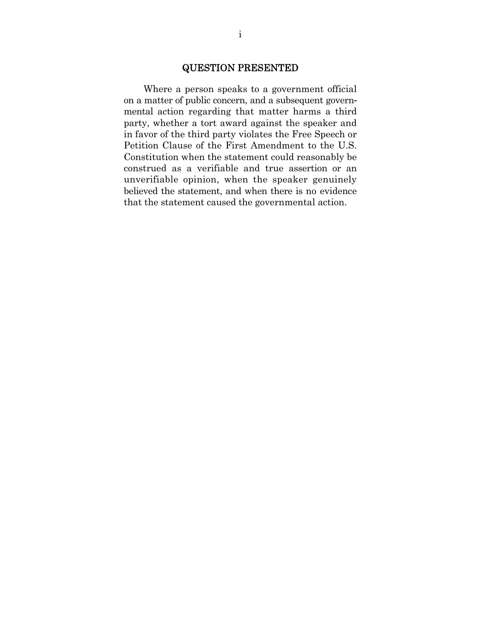#### QUESTION PRESENTED

Where a person speaks to a government official on a matter of public concern, and a subsequent governmental action regarding that matter harms a third party, whether a tort award against the speaker and in favor of the third party violates the Free Speech or Petition Clause of the First Amendment to the U.S. Constitution when the statement could reasonably be construed as a verifiable and true assertion or an unverifiable opinion, when the speaker genuinely believed the statement, and when there is no evidence that the statement caused the governmental action.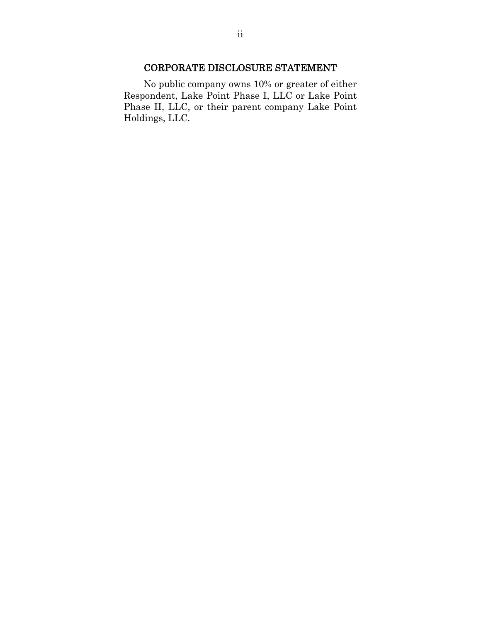### CORPORATE DISCLOSURE STATEMENT

No public company owns 10% or greater of either Respondent, Lake Point Phase I, LLC or Lake Point Phase II, LLC, or their parent company Lake Point Holdings, LLC.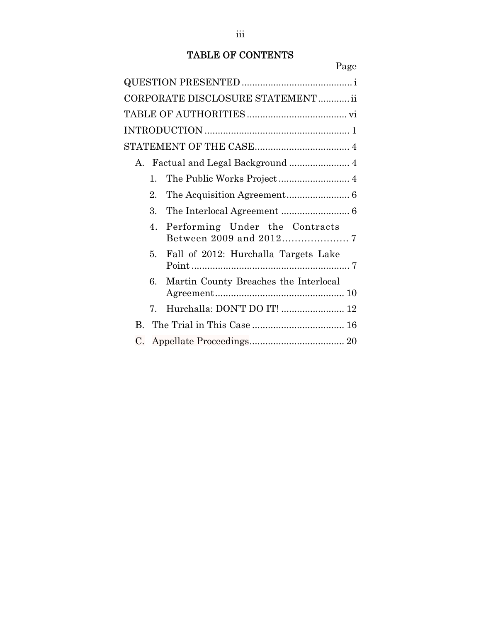# TABLE OF CONTENTS

|         |                | CORPORATE DISCLOSURE STATEMENT ii     |
|---------|----------------|---------------------------------------|
|         |                |                                       |
|         |                |                                       |
|         |                |                                       |
| $A_{-}$ |                |                                       |
|         | 1.             |                                       |
|         | $\overline{2}$ |                                       |
|         | 3.             |                                       |
|         | 4.             | Performing Under the Contracts        |
|         | 5.             | Fall of 2012: Hurchalla Targets Lake  |
|         | 6              | Martin County Breaches the Interlocal |
|         | 7.             | Hurchalla: DON'T DO IT!  12           |
| B.      |                |                                       |
| C.      |                |                                       |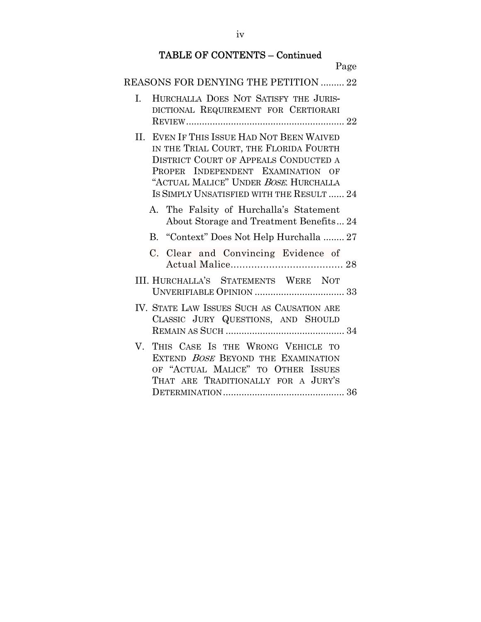# TABLE OF CONTENTS – Continued

| Page                                                                                                                                                                                                                                                                                                       |
|------------------------------------------------------------------------------------------------------------------------------------------------------------------------------------------------------------------------------------------------------------------------------------------------------------|
| REASONS FOR DENYING THE PETITION  22                                                                                                                                                                                                                                                                       |
| HURCHALLA DOES NOT SATISFY THE JURIS-<br>I.<br>DICTIONAL REQUIREMENT FOR CERTIORARI                                                                                                                                                                                                                        |
| II. EVEN IF THIS ISSUE HAD NOT BEEN WAIVED<br>IN THE TRIAL COURT, THE FLORIDA FOURTH<br><b>DISTRICT COURT OF APPEALS CONDUCTED A</b><br>PROPER INDEPENDENT EXAMINATION OF<br>"ACTUAL MALICE" UNDER BOSE. HURCHALLA<br>IS SIMPLY UNSATISFIED WITH THE RESULT  24<br>A. The Falsity of Hurchalla's Statement |
| About Storage and Treatment Benefits 24                                                                                                                                                                                                                                                                    |
| B. "Context" Does Not Help Hurchalla  27                                                                                                                                                                                                                                                                   |
| C. Clear and Convincing Evidence of                                                                                                                                                                                                                                                                        |
| III. HURCHALLA'S STATEMENTS WERE NOT                                                                                                                                                                                                                                                                       |
| IV. STATE LAW ISSUES SUCH AS CAUSATION ARE<br>CLASSIC JURY QUESTIONS, AND SHOULD                                                                                                                                                                                                                           |
| $V_{\cdot}$<br>THIS CASE IS THE WRONG VEHICLE TO<br>EXTEND BOSE BEYOND THE EXAMINATION<br>OF "ACTUAL MALICE" TO OTHER ISSUES<br>THAT ARE TRADITIONALLY FOR A JURY'S                                                                                                                                        |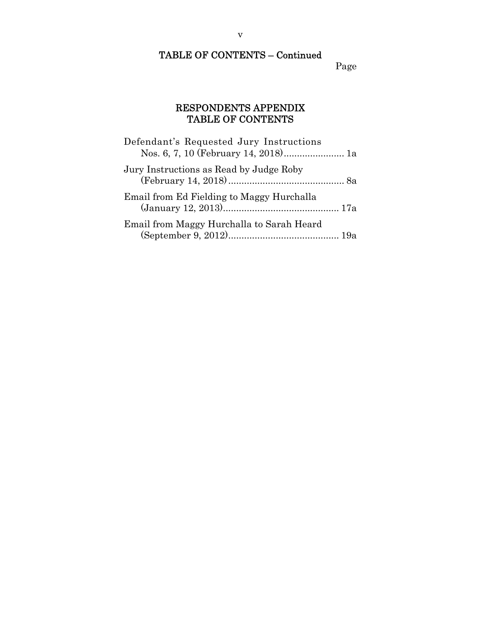# TABLE OF CONTENTS – Continued

Page

### RESPONDENTS APPENDIX TABLE OF CONTENTS

| Defendant's Requested Jury Instructions<br>Nos. 6, 7, 10 (February 14, 2018) 1a |  |
|---------------------------------------------------------------------------------|--|
| Jury Instructions as Read by Judge Roby                                         |  |
| Email from Ed Fielding to Maggy Hurchalla                                       |  |
| Email from Maggy Hurchalla to Sarah Heard                                       |  |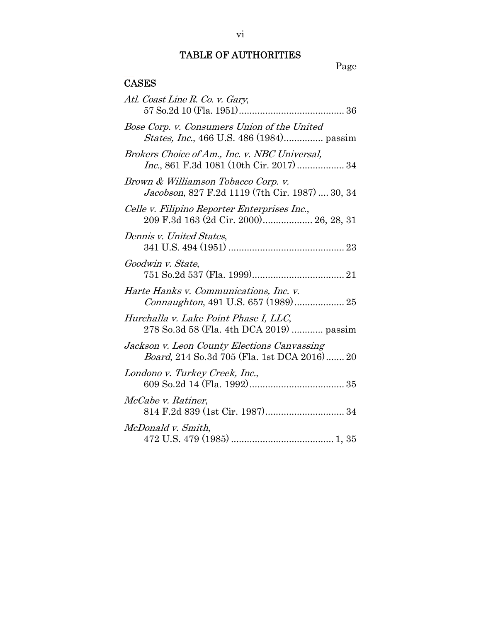### TABLE OF AUTHORITIES

# Page Table

### CASES

| Atl. Coast Line R. Co. v. Gary,                                                            |
|--------------------------------------------------------------------------------------------|
| Bose Corp. v. Consumers Union of the United                                                |
| Brokers Choice of Am., Inc. v. NBC Universal,<br>Inc., 861 F.3d 1081 (10th Cir. 2017)  34  |
| Brown & Williamson Tobacco Corp. v.<br>Jacobson, 827 F.2d 1119 (7th Cir. 1987)  30, 34     |
| Celle v. Filipino Reporter Enterprises Inc.,<br>209 F.3d 163 (2d Cir. 2000) 26, 28, 31     |
| Dennis v. United States.                                                                   |
| Goodwin v. State,                                                                          |
| Harte Hanks v. Communications, Inc. v.<br>Connaughton, 491 U.S. 657 (1989) 25              |
| Hurchalla v. Lake Point Phase I, LLC,<br>278 So.3d 58 (Fla. 4th DCA 2019)  passim          |
| Jackson v. Leon County Elections Canvassing<br>Board, 214 So.3d 705 (Fla. 1st DCA 2016) 20 |
| Londono v. Turkey Creek, Inc.,                                                             |
| McCabe v. Ratiner,                                                                         |
| McDonald v. Smith,                                                                         |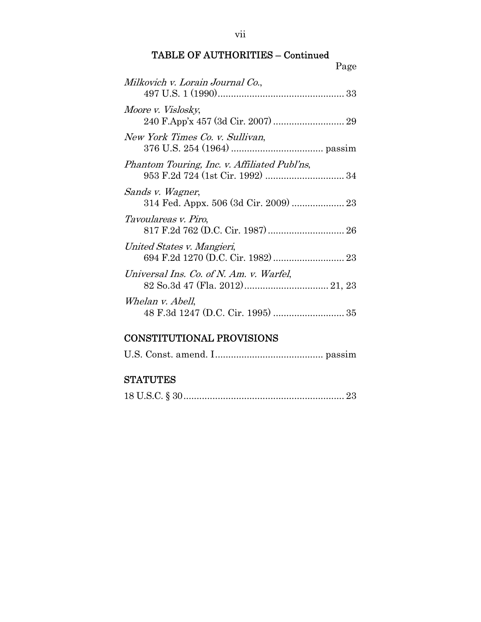vii

### TABLE OF AUTHORITIES – Continued

| Milkovich v. Lorain Journal Co.,             |  |
|----------------------------------------------|--|
| Moore v. Vislosky,                           |  |
| New York Times Co. v. Sullivan,              |  |
| Phantom Touring, Inc. v. Affiliated Publ'ns, |  |
| Sands v. Wagner,                             |  |
| <i>Tavoulareas v. Piro,</i>                  |  |
| United States v. Mangieri,                   |  |
| Universal Ins. Co. of N. Am. v. Warfel,      |  |
| Whelan v. Abell,                             |  |

## CONSTITUTIONAL PROVISIONS

### **STATUTES**

|--|--|--|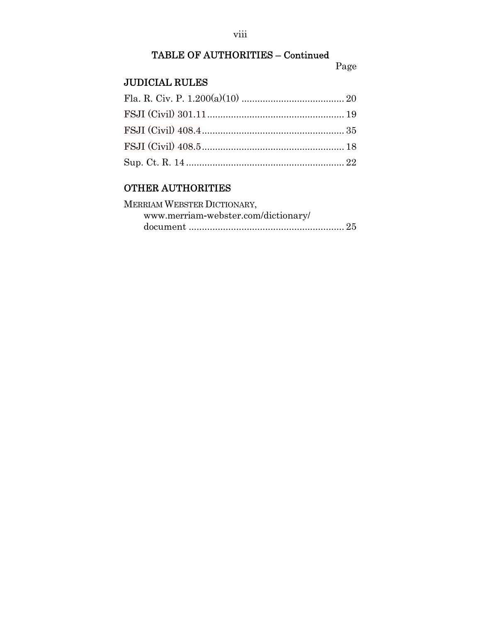#### viii

# TABLE OF AUTHORITIES – Continued

#### Page

### JUDICIAL RULES

## OTHER AUTHORITIES

| MERRIAM WEBSTER DICTIONARY,         |
|-------------------------------------|
| www.merriam-webster.com/dictionary/ |
|                                     |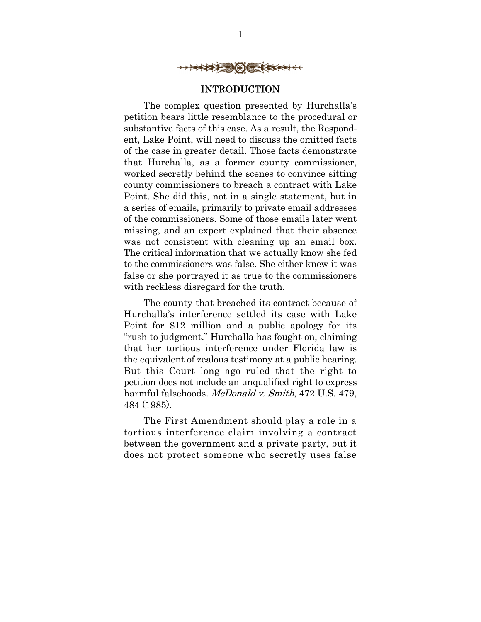

#### INTRODUCTION

The complex question presented by Hurchalla's petition bears little resemblance to the procedural or substantive facts of this case. As a result, the Respondent, Lake Point, will need to discuss the omitted facts of the case in greater detail. Those facts demonstrate that Hurchalla, as a former county commissioner, worked secretly behind the scenes to convince sitting county commissioners to breach a contract with Lake Point. She did this, not in a single statement, but in a series of emails, primarily to private email addresses of the commissioners. Some of those emails later went missing, and an expert explained that their absence was not consistent with cleaning up an email box. The critical information that we actually know she fed to the commissioners was false. She either knew it was false or she portrayed it as true to the commissioners with reckless disregard for the truth.

The county that breached its contract because of Hurchalla's interference settled its case with Lake Point for \$12 million and a public apology for its "rush to judgment." Hurchalla has fought on, claiming that her tortious interference under Florida law is the equivalent of zealous testimony at a public hearing. But this Court long ago ruled that the right to petition does not include an unqualified right to express harmful falsehoods. *McDonald v. Smith*, 472 U.S. 479, 484 (1985).

The First Amendment should play a role in a tortious interference claim involving a contract between the government and a private party, but it does not protect someone who secretly uses false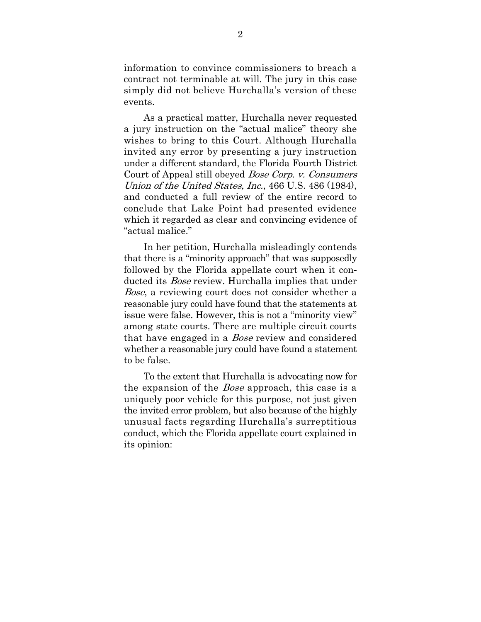information to convince commissioners to breach a contract not terminable at will. The jury in this case simply did not believe Hurchalla's version of these events.

As a practical matter, Hurchalla never requested a jury instruction on the "actual malice" theory she wishes to bring to this Court. Although Hurchalla invited any error by presenting a jury instruction under a different standard, the Florida Fourth District Court of Appeal still obeyed Bose Corp. v. Consumers Union of the United States, Inc., 466 U.S. 486 (1984), and conducted a full review of the entire record to conclude that Lake Point had presented evidence which it regarded as clear and convincing evidence of "actual malice."

In her petition, Hurchalla misleadingly contends that there is a "minority approach" that was supposedly followed by the Florida appellate court when it conducted its *Bose* review. Hurchalla implies that under Bose, a reviewing court does not consider whether a reasonable jury could have found that the statements at issue were false. However, this is not a "minority view" among state courts. There are multiple circuit courts that have engaged in a *Bose* review and considered whether a reasonable jury could have found a statement to be false.

To the extent that Hurchalla is advocating now for the expansion of the *Bose* approach, this case is a uniquely poor vehicle for this purpose, not just given the invited error problem, but also because of the highly unusual facts regarding Hurchalla's surreptitious conduct, which the Florida appellate court explained in its opinion: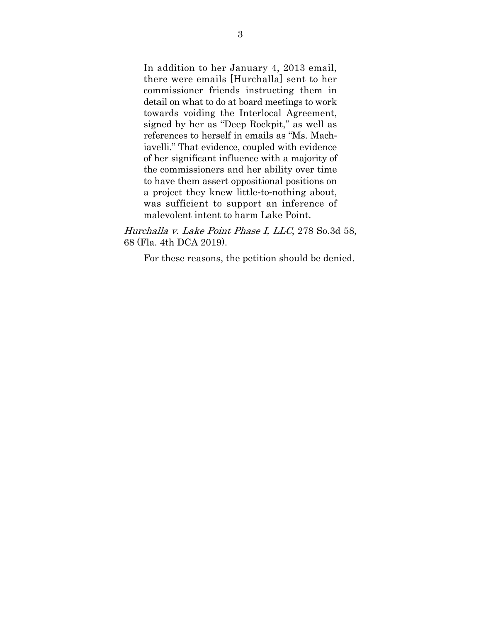In addition to her January 4, 2013 email, there were emails [Hurchalla] sent to her commissioner friends instructing them in detail on what to do at board meetings to work towards voiding the Interlocal Agreement, signed by her as "Deep Rockpit," as well as references to herself in emails as "Ms. Machiavelli." That evidence, coupled with evidence of her significant influence with a majority of the commissioners and her ability over time to have them assert oppositional positions on a project they knew little-to-nothing about, was sufficient to support an inference of malevolent intent to harm Lake Point.

Hurchalla v. Lake Point Phase I, LLC, 278 So.3d 58, 68 (Fla. 4th DCA 2019).

For these reasons, the petition should be denied.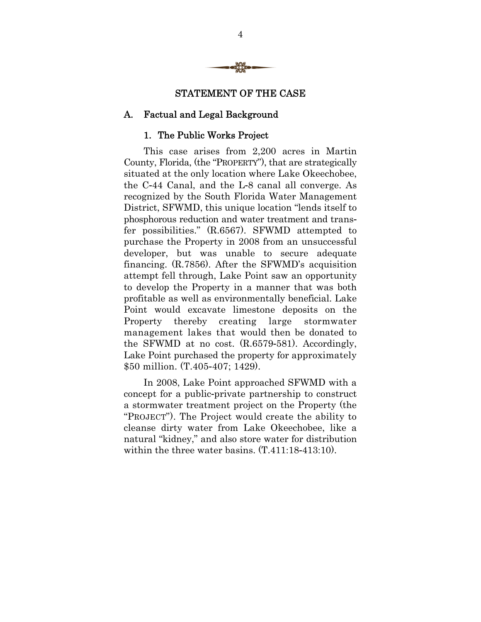

### STATEMENT OF THE CASE

### A. Factual and Legal Background

### 1. The Public Works Project

This case arises from 2,200 acres in Martin County, Florida, (the "PROPERTY"), that are strategically situated at the only location where Lake Okeechobee, the C-44 Canal, and the L-8 canal all converge. As recognized by the South Florida Water Management District, SFWMD, this unique location "lends itself to phosphorous reduction and water treatment and transfer possibilities." (R.6567). SFWMD attempted to purchase the Property in 2008 from an unsuccessful developer, but was unable to secure adequate financing. (R.7856). After the SFWMD's acquisition attempt fell through, Lake Point saw an opportunity to develop the Property in a manner that was both profitable as well as environmentally beneficial. Lake Point would excavate limestone deposits on the Property thereby creating large stormwater management lakes that would then be donated to the SFWMD at no cost. (R.6579-581). Accordingly, Lake Point purchased the property for approximately \$50 million. (T.405-407; 1429).

In 2008, Lake Point approached SFWMD with a concept for a public-private partnership to construct a stormwater treatment project on the Property (the "PROJECT"). The Project would create the ability to cleanse dirty water from Lake Okeechobee, like a natural "kidney," and also store water for distribution within the three water basins. (T.411:18-413:10).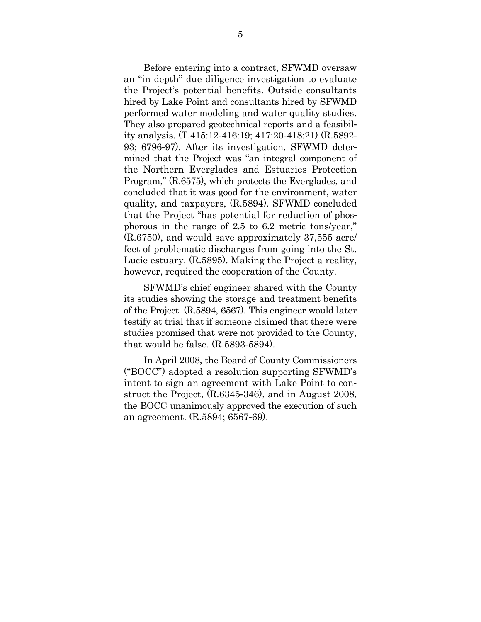Before entering into a contract, SFWMD oversaw an "in depth" due diligence investigation to evaluate the Project's potential benefits. Outside consultants hired by Lake Point and consultants hired by SFWMD performed water modeling and water quality studies. They also prepared geotechnical reports and a feasibility analysis. (T.415:12-416:19; 417:20-418:21) (R.5892- 93; 6796-97). After its investigation, SFWMD determined that the Project was "an integral component of the Northern Everglades and Estuaries Protection Program," (R.6575), which protects the Everglades, and concluded that it was good for the environment, water quality, and taxpayers, (R.5894). SFWMD concluded that the Project "has potential for reduction of phosphorous in the range of 2.5 to 6.2 metric tons/year," (R.6750), and would save approximately 37,555 acre/ feet of problematic discharges from going into the St. Lucie estuary. (R.5895). Making the Project a reality, however, required the cooperation of the County.

SFWMD's chief engineer shared with the County its studies showing the storage and treatment benefits of the Project. (R.5894, 6567). This engineer would later testify at trial that if someone claimed that there were studies promised that were not provided to the County, that would be false. (R.5893-5894).

In April 2008, the Board of County Commissioners ("BOCC") adopted a resolution supporting SFWMD's intent to sign an agreement with Lake Point to construct the Project, (R.6345-346), and in August 2008, the BOCC unanimously approved the execution of such an agreement. (R.5894; 6567-69).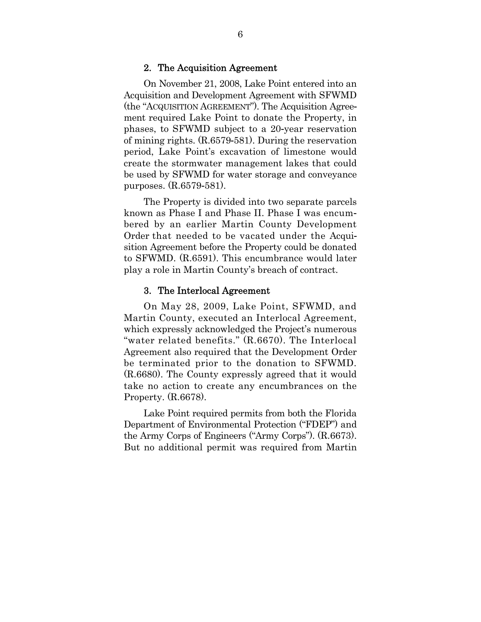#### 2. The Acquisition Agreement

On November 21, 2008, Lake Point entered into an Acquisition and Development Agreement with SFWMD (the "ACQUISITION AGREEMENT"). The Acquisition Agreement required Lake Point to donate the Property, in phases, to SFWMD subject to a 20-year reservation of mining rights. (R.6579-581). During the reservation period, Lake Point's excavation of limestone would create the stormwater management lakes that could be used by SFWMD for water storage and conveyance purposes. (R.6579-581).

The Property is divided into two separate parcels known as Phase I and Phase II. Phase I was encumbered by an earlier Martin County Development Order that needed to be vacated under the Acquisition Agreement before the Property could be donated to SFWMD. (R.6591). This encumbrance would later play a role in Martin County's breach of contract.

#### 3. The Interlocal Agreement

On May 28, 2009, Lake Point, SFWMD, and Martin County, executed an Interlocal Agreement, which expressly acknowledged the Project's numerous "water related benefits." (R.6670). The Interlocal Agreement also required that the Development Order be terminated prior to the donation to SFWMD. (R.6680). The County expressly agreed that it would take no action to create any encumbrances on the Property. (R.6678).

Lake Point required permits from both the Florida Department of Environmental Protection ("FDEP") and the Army Corps of Engineers ("Army Corps"). (R.6673). But no additional permit was required from Martin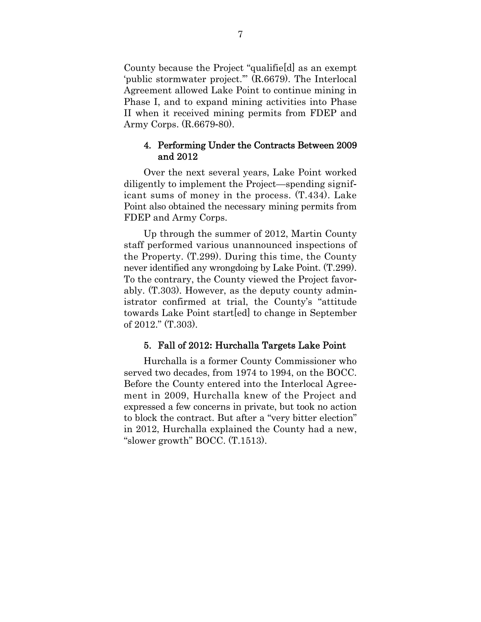County because the Project "qualifie[d] as an exempt 'public stormwater project.'" (R.6679). The Interlocal Agreement allowed Lake Point to continue mining in Phase I, and to expand mining activities into Phase II when it received mining permits from FDEP and Army Corps. (R.6679-80).

#### 4. Performing Under the Contracts Between 2009 and 2012

Over the next several years, Lake Point worked diligently to implement the Project—spending significant sums of money in the process. (T.434). Lake Point also obtained the necessary mining permits from FDEP and Army Corps.

Up through the summer of 2012, Martin County staff performed various unannounced inspections of the Property. (T.299). During this time, the County never identified any wrongdoing by Lake Point. (T.299). To the contrary, the County viewed the Project favorably. (T.303). However, as the deputy county administrator confirmed at trial, the County's "attitude towards Lake Point start[ed] to change in September of 2012." (T.303).

#### 5. Fall of 2012**:** Hurchalla Targets Lake Point

Hurchalla is a former County Commissioner who served two decades, from 1974 to 1994, on the BOCC. Before the County entered into the Interlocal Agreement in 2009, Hurchalla knew of the Project and expressed a few concerns in private, but took no action to block the contract. But after a "very bitter election" in 2012, Hurchalla explained the County had a new, "slower growth" BOCC. (T.1513).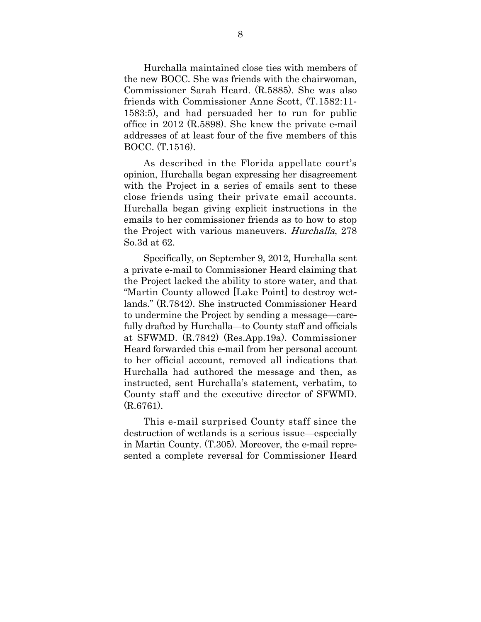Hurchalla maintained close ties with members of the new BOCC. She was friends with the chairwoman, Commissioner Sarah Heard. (R.5885). She was also friends with Commissioner Anne Scott, (T.1582:11- 1583:5), and had persuaded her to run for public office in 2012 (R.5898). She knew the private e-mail addresses of at least four of the five members of this BOCC. (T.1516).

As described in the Florida appellate court's opinion, Hurchalla began expressing her disagreement with the Project in a series of emails sent to these close friends using their private email accounts. Hurchalla began giving explicit instructions in the emails to her commissioner friends as to how to stop the Project with various maneuvers. Hurchalla, 278 So.3d at 62.

Specifically, on September 9, 2012, Hurchalla sent a private e-mail to Commissioner Heard claiming that the Project lacked the ability to store water, and that "Martin County allowed [Lake Point] to destroy wetlands." (R.7842). She instructed Commissioner Heard to undermine the Project by sending a message—carefully drafted by Hurchalla—to County staff and officials at SFWMD. (R.7842) (Res.App.19a). Commissioner Heard forwarded this e-mail from her personal account to her official account, removed all indications that Hurchalla had authored the message and then, as instructed, sent Hurchalla's statement, verbatim, to County staff and the executive director of SFWMD. (R.6761).

This e-mail surprised County staff since the destruction of wetlands is a serious issue—especially in Martin County. (T.305). Moreover, the e-mail represented a complete reversal for Commissioner Heard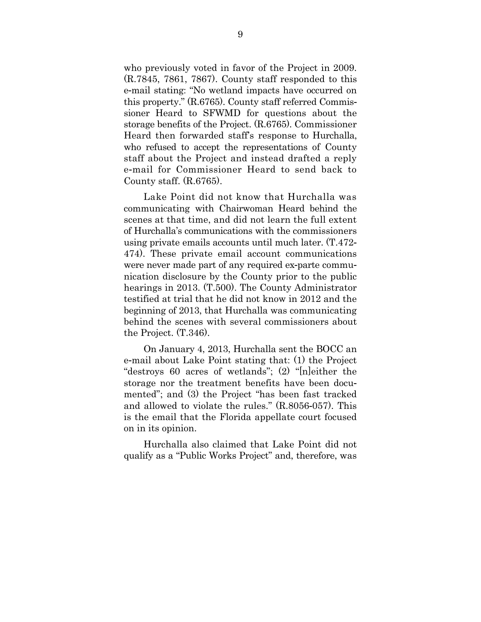who previously voted in favor of the Project in 2009. (R.7845, 7861, 7867). County staff responded to this e-mail stating: "No wetland impacts have occurred on this property." (R.6765). County staff referred Commissioner Heard to SFWMD for questions about the storage benefits of the Project. (R.6765). Commissioner Heard then forwarded staff's response to Hurchalla, who refused to accept the representations of County staff about the Project and instead drafted a reply e-mail for Commissioner Heard to send back to County staff. (R.6765).

Lake Point did not know that Hurchalla was communicating with Chairwoman Heard behind the scenes at that time, and did not learn the full extent of Hurchalla's communications with the commissioners using private emails accounts until much later. (T.472- 474). These private email account communications were never made part of any required ex-parte communication disclosure by the County prior to the public hearings in 2013. (T.500). The County Administrator testified at trial that he did not know in 2012 and the beginning of 2013, that Hurchalla was communicating behind the scenes with several commissioners about the Project. (T.346).

On January 4, 2013, Hurchalla sent the BOCC an e-mail about Lake Point stating that: (1) the Project "destroys 60 acres of wetlands"; (2) "[n]either the storage nor the treatment benefits have been documented"; and (3) the Project "has been fast tracked and allowed to violate the rules." (R.8056-057). This is the email that the Florida appellate court focused on in its opinion.

Hurchalla also claimed that Lake Point did not qualify as a "Public Works Project" and, therefore, was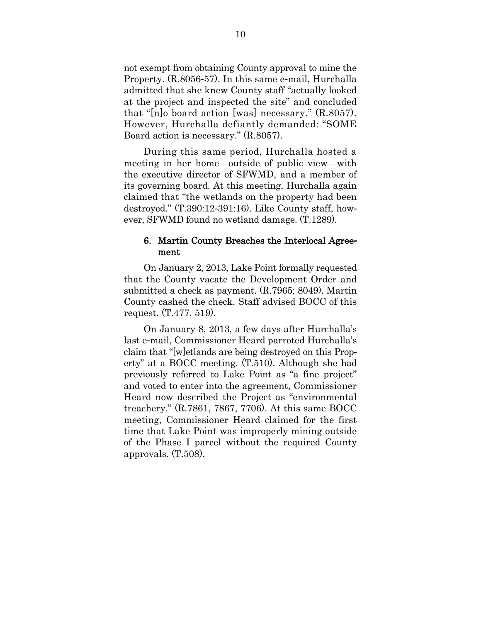not exempt from obtaining County approval to mine the Property. (R.8056-57). In this same e-mail, Hurchalla admitted that she knew County staff "actually looked at the project and inspected the site" and concluded that "[n]o board action [was] necessary." (R.8057). However, Hurchalla defiantly demanded: "SOME Board action is necessary." (R.8057).

During this same period, Hurchalla hosted a meeting in her home—outside of public view—with the executive director of SFWMD, and a member of its governing board. At this meeting, Hurchalla again claimed that "the wetlands on the property had been destroyed." (T.390:12-391:16). Like County staff, however, SFWMD found no wetland damage. (T.1289).

#### 6. Martin County Breaches the Interlocal Agreement

On January 2, 2013, Lake Point formally requested that the County vacate the Development Order and submitted a check as payment. (R.7965; 8049). Martin County cashed the check. Staff advised BOCC of this request. (T.477, 519).

On January 8, 2013, a few days after Hurchalla's last e-mail, Commissioner Heard parroted Hurchalla's claim that "[w]etlands are being destroyed on this Property" at a BOCC meeting. (T.510). Although she had previously referred to Lake Point as "a fine project" and voted to enter into the agreement, Commissioner Heard now described the Project as "environmental treachery." (R.7861, 7867, 7706). At this same BOCC meeting, Commissioner Heard claimed for the first time that Lake Point was improperly mining outside of the Phase I parcel without the required County approvals. (T.508).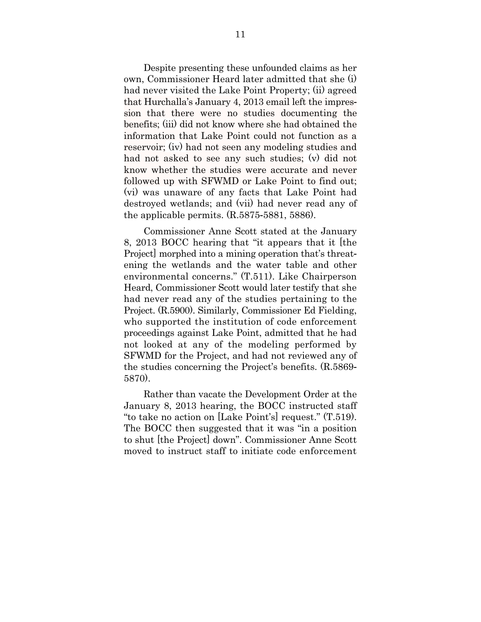Despite presenting these unfounded claims as her own, Commissioner Heard later admitted that she (i) had never visited the Lake Point Property; (ii) agreed that Hurchalla's January 4, 2013 email left the impression that there were no studies documenting the benefits; (iii) did not know where she had obtained the information that Lake Point could not function as a reservoir; (iv) had not seen any modeling studies and had not asked to see any such studies; (v) did not know whether the studies were accurate and never followed up with SFWMD or Lake Point to find out; (vi) was unaware of any facts that Lake Point had destroyed wetlands; and (vii) had never read any of the applicable permits. (R.5875-5881, 5886).

Commissioner Anne Scott stated at the January 8, 2013 BOCC hearing that "it appears that it [the Project] morphed into a mining operation that's threatening the wetlands and the water table and other environmental concerns." (T.511). Like Chairperson Heard, Commissioner Scott would later testify that she had never read any of the studies pertaining to the Project. (R.5900). Similarly, Commissioner Ed Fielding, who supported the institution of code enforcement proceedings against Lake Point, admitted that he had not looked at any of the modeling performed by SFWMD for the Project, and had not reviewed any of the studies concerning the Project's benefits. (R.5869- 5870).

Rather than vacate the Development Order at the January 8, 2013 hearing, the BOCC instructed staff "to take no action on [Lake Point's] request." (T.519). The BOCC then suggested that it was "in a position to shut [the Project] down". Commissioner Anne Scott moved to instruct staff to initiate code enforcement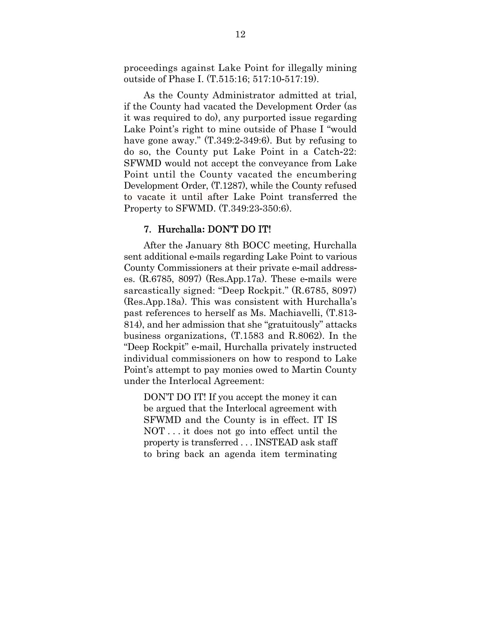proceedings against Lake Point for illegally mining outside of Phase I. (T.515:16; 517:10-517:19).

As the County Administrator admitted at trial, if the County had vacated the Development Order (as it was required to do), any purported issue regarding Lake Point's right to mine outside of Phase I "would have gone away." (T.349:2-349:6). But by refusing to do so, the County put Lake Point in a Catch-22: SFWMD would not accept the conveyance from Lake Point until the County vacated the encumbering Development Order, (T.1287), while the County refused to vacate it until after Lake Point transferred the Property to SFWMD. (T.349:23-350:6).

#### 7. Hurchalla**:** DON'T DO IT!

After the January 8th BOCC meeting, Hurchalla sent additional e-mails regarding Lake Point to various County Commissioners at their private e-mail addresses. (R.6785, 8097) (Res.App.17a). These e-mails were sarcastically signed: "Deep Rockpit." (R.6785, 8097) (Res.App.18a). This was consistent with Hurchalla's past references to herself as Ms. Machiavelli, (T.813- 814), and her admission that she "gratuitously" attacks business organizations, (T.1583 and R.8062). In the "Deep Rockpit" e-mail, Hurchalla privately instructed individual commissioners on how to respond to Lake Point's attempt to pay monies owed to Martin County under the Interlocal Agreement:

DON'T DO IT! If you accept the money it can be argued that the Interlocal agreement with SFWMD and the County is in effect. IT IS NOT . . . it does not go into effect until the property is transferred . . . INSTEAD ask staff to bring back an agenda item terminating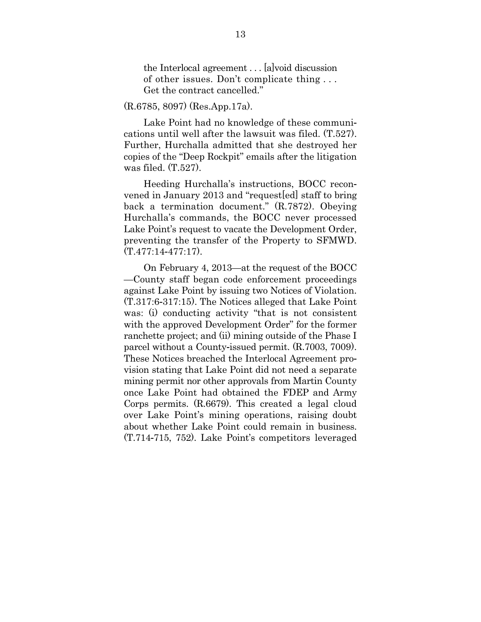the Interlocal agreement . . . [a]void discussion of other issues. Don't complicate thing . . . Get the contract cancelled."

#### (R.6785, 8097) (Res.App.17a).

Lake Point had no knowledge of these communications until well after the lawsuit was filed. (T.527). Further, Hurchalla admitted that she destroyed her copies of the "Deep Rockpit" emails after the litigation was filed. (T.527).

Heeding Hurchalla's instructions, BOCC reconvened in January 2013 and "request[ed] staff to bring back a termination document." (R.7872). Obeying Hurchalla's commands, the BOCC never processed Lake Point's request to vacate the Development Order, preventing the transfer of the Property to SFMWD.  $(T.477:14-477:17)$ .

On February 4, 2013—at the request of the BOCC —County staff began code enforcement proceedings against Lake Point by issuing two Notices of Violation. (T.317:6-317:15). The Notices alleged that Lake Point was: (i) conducting activity "that is not consistent with the approved Development Order" for the former ranchette project; and (ii) mining outside of the Phase I parcel without a County-issued permit. (R.7003, 7009). These Notices breached the Interlocal Agreement provision stating that Lake Point did not need a separate mining permit nor other approvals from Martin County once Lake Point had obtained the FDEP and Army Corps permits. (R.6679). This created a legal cloud over Lake Point's mining operations, raising doubt about whether Lake Point could remain in business. (T.714-715, 752). Lake Point's competitors leveraged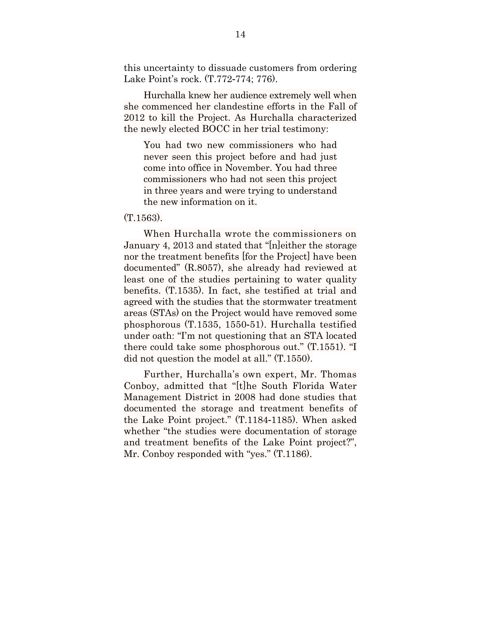this uncertainty to dissuade customers from ordering Lake Point's rock. (T.772-774; 776).

Hurchalla knew her audience extremely well when she commenced her clandestine efforts in the Fall of 2012 to kill the Project. As Hurchalla characterized the newly elected BOCC in her trial testimony:

You had two new commissioners who had never seen this project before and had just come into office in November. You had three commissioners who had not seen this project in three years and were trying to understand the new information on it.

#### $(T1563)$

When Hurchalla wrote the commissioners on January 4, 2013 and stated that "[n]either the storage nor the treatment benefits [for the Project] have been documented" (R.8057), she already had reviewed at least one of the studies pertaining to water quality benefits. (T.1535). In fact, she testified at trial and agreed with the studies that the stormwater treatment areas (STAs) on the Project would have removed some phosphorous (T.1535, 1550-51). Hurchalla testified under oath: "I'm not questioning that an STA located there could take some phosphorous out." (T.1551). "I did not question the model at all." (T.1550).

Further, Hurchalla's own expert, Mr. Thomas Conboy, admitted that "[t]he South Florida Water Management District in 2008 had done studies that documented the storage and treatment benefits of the Lake Point project." (T.1184-1185). When asked whether "the studies were documentation of storage and treatment benefits of the Lake Point project?", Mr. Conboy responded with "yes." (T.1186).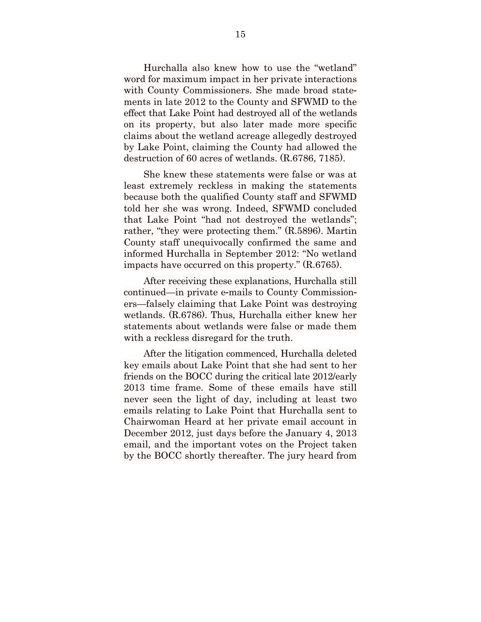Hurchalla also knew how to use the "wetland" word for maximum impact in her private interactions with County Commissioners. She made broad statements in late 2012 to the County and SFWMD to the effect that Lake Point had destroyed all of the wetlands on its property, but also later made more specific claims about the wetland acreage allegedly destroyed by Lake Point, claiming the County had allowed the destruction of 60 acres of wetlands. (R.6786, 7185).

She knew these statements were false or was at least extremely reckless in making the statements because both the qualified County staff and SFWMD told her she was wrong. Indeed, SFWMD concluded that Lake Point "had not destroyed the wetlands"; rather, "they were protecting them." (R.5896). Martin County staff unequivocally confirmed the same and informed Hurchalla in September 2012: "No wetland impacts have occurred on this property." (R.6765).

After receiving these explanations, Hurchalla still continued—in private e-mails to County Commissioners—falsely claiming that Lake Point was destroying wetlands. (R.6786). Thus, Hurchalla either knew her statements about wetlands were false or made them with a reckless disregard for the truth.

After the litigation commenced, Hurchalla deleted key emails about Lake Point that she had sent to her friends on the BOCC during the critical late 2012/early 2013 time frame. Some of these emails have still never seen the light of day, including at least two emails relating to Lake Point that Hurchalla sent to Chairwoman Heard at her private email account in December 2012, just days before the January 4, 2013 email, and the important votes on the Project taken by the BOCC shortly thereafter. The jury heard from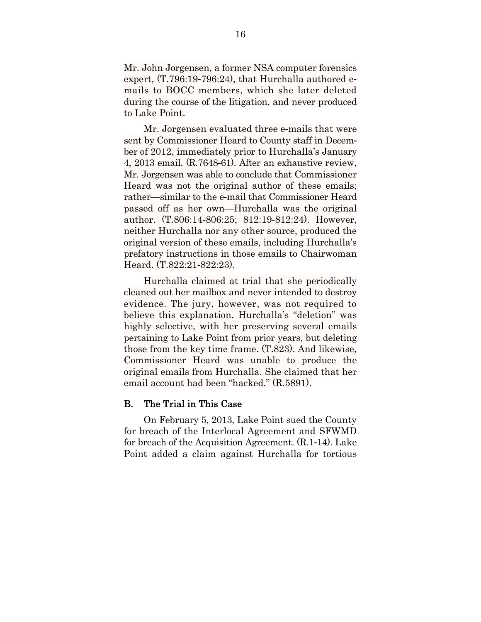Mr. John Jorgensen, a former NSA computer forensics expert, (T.796:19-796:24), that Hurchalla authored emails to BOCC members, which she later deleted during the course of the litigation, and never produced to Lake Point.

Mr. Jorgensen evaluated three e-mails that were sent by Commissioner Heard to County staff in December of 2012, immediately prior to Hurchalla's January 4, 2013 email. (R.7648-61). After an exhaustive review, Mr. Jorgensen was able to conclude that Commissioner Heard was not the original author of these emails; rather—similar to the e-mail that Commissioner Heard passed off as her own—Hurchalla was the original author. (T.806:14-806:25; 812:19-812:24). However, neither Hurchalla nor any other source, produced the original version of these emails, including Hurchalla's prefatory instructions in those emails to Chairwoman Heard. (T.822:21-822:23).

Hurchalla claimed at trial that she periodically cleaned out her mailbox and never intended to destroy evidence. The jury, however, was not required to believe this explanation. Hurchalla's "deletion" was highly selective, with her preserving several emails pertaining to Lake Point from prior years, but deleting those from the key time frame. (T.823). And likewise, Commissioner Heard was unable to produce the original emails from Hurchalla. She claimed that her email account had been "hacked." (R.5891).

#### B. The Trial in This Case

On February 5, 2013, Lake Point sued the County for breach of the Interlocal Agreement and SFWMD for breach of the Acquisition Agreement. (R.1-14). Lake Point added a claim against Hurchalla for tortious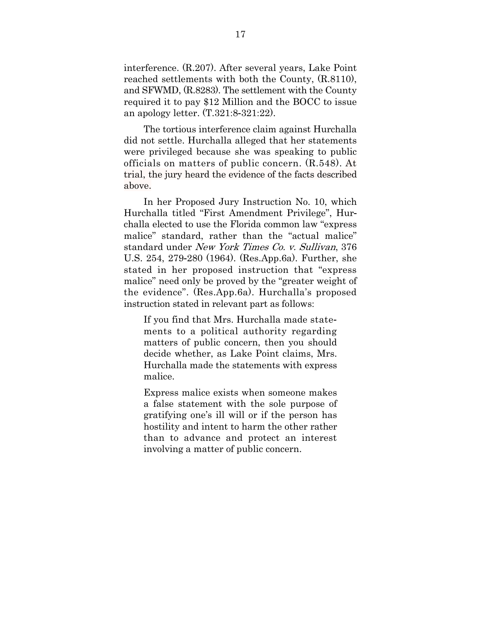interference. (R.207). After several years, Lake Point reached settlements with both the County, (R.8110), and SFWMD, (R.8283). The settlement with the County required it to pay \$12 Million and the BOCC to issue an apology letter. (T.321:8-321:22).

The tortious interference claim against Hurchalla did not settle. Hurchalla alleged that her statements were privileged because she was speaking to public officials on matters of public concern. (R.548). At trial, the jury heard the evidence of the facts described above.

In her Proposed Jury Instruction No. 10, which Hurchalla titled "First Amendment Privilege", Hurchalla elected to use the Florida common law "express malice" standard, rather than the "actual malice" standard under New York Times Co. v. Sullivan, 376 U.S. 254, 279-280 (1964). (Res.App.6a). Further, she stated in her proposed instruction that "express malice" need only be proved by the "greater weight of the evidence". (Res.App.6a). Hurchalla's proposed instruction stated in relevant part as follows:

If you find that Mrs. Hurchalla made statements to a political authority regarding matters of public concern, then you should decide whether, as Lake Point claims, Mrs. Hurchalla made the statements with express malice.

Express malice exists when someone makes a false statement with the sole purpose of gratifying one's ill will or if the person has hostility and intent to harm the other rather than to advance and protect an interest involving a matter of public concern.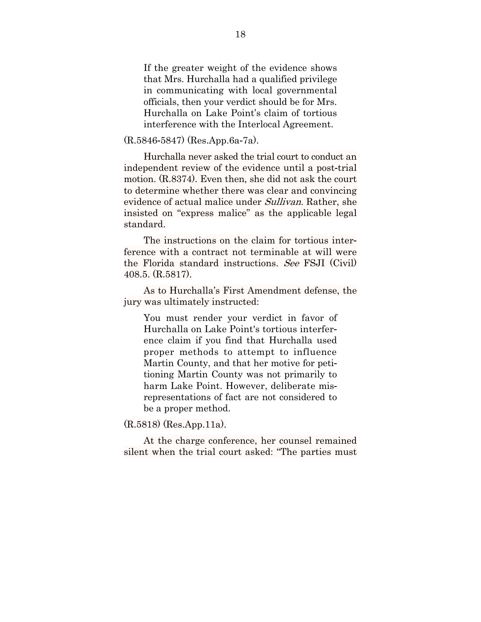If the greater weight of the evidence shows that Mrs. Hurchalla had a qualified privilege in communicating with local governmental officials, then your verdict should be for Mrs. Hurchalla on Lake Point's claim of tortious interference with the Interlocal Agreement.

(R.5846-5847) (Res.App.6a-7a).

Hurchalla never asked the trial court to conduct an independent review of the evidence until a post-trial motion. (R.8374). Even then, she did not ask the court to determine whether there was clear and convincing evidence of actual malice under *Sullivan*. Rather, she insisted on "express malice" as the applicable legal standard.

The instructions on the claim for tortious interference with a contract not terminable at will were the Florida standard instructions. See FSJI (Civil) 408.5. (R.5817).

As to Hurchalla's First Amendment defense, the jury was ultimately instructed:

You must render your verdict in favor of Hurchalla on Lake Point's tortious interference claim if you find that Hurchalla used proper methods to attempt to influence Martin County, and that her motive for petitioning Martin County was not primarily to harm Lake Point. However, deliberate misrepresentations of fact are not considered to be a proper method.

(R.5818) (Res.App.11a).

At the charge conference, her counsel remained silent when the trial court asked: "The parties must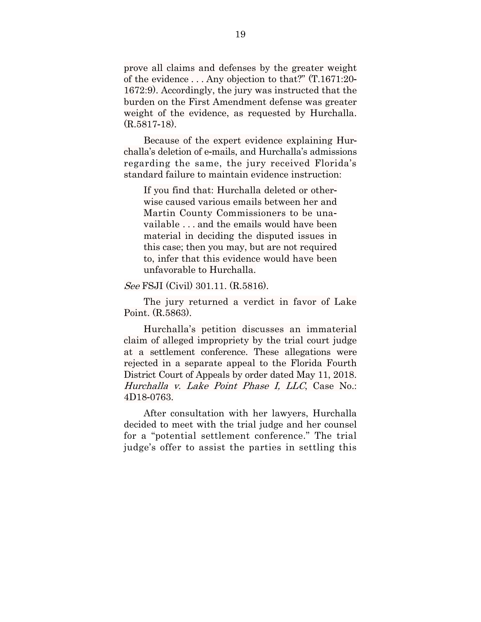prove all claims and defenses by the greater weight of the evidence . . . Any objection to that?" (T.1671:20- 1672:9). Accordingly, the jury was instructed that the burden on the First Amendment defense was greater weight of the evidence, as requested by Hurchalla. (R.5817-18).

Because of the expert evidence explaining Hurchalla's deletion of e-mails, and Hurchalla's admissions regarding the same, the jury received Florida's standard failure to maintain evidence instruction:

If you find that: Hurchalla deleted or otherwise caused various emails between her and Martin County Commissioners to be unavailable . . . and the emails would have been material in deciding the disputed issues in this case; then you may, but are not required to, infer that this evidence would have been unfavorable to Hurchalla.

See FSJI (Civil) 301.11. (R.5816).

The jury returned a verdict in favor of Lake Point. (R.5863).

Hurchalla's petition discusses an immaterial claim of alleged impropriety by the trial court judge at a settlement conference. These allegations were rejected in a separate appeal to the Florida Fourth District Court of Appeals by order dated May 11, 2018. Hurchalla v. Lake Point Phase I, LLC, Case No.: 4D18-0763.

After consultation with her lawyers, Hurchalla decided to meet with the trial judge and her counsel for a "potential settlement conference." The trial judge's offer to assist the parties in settling this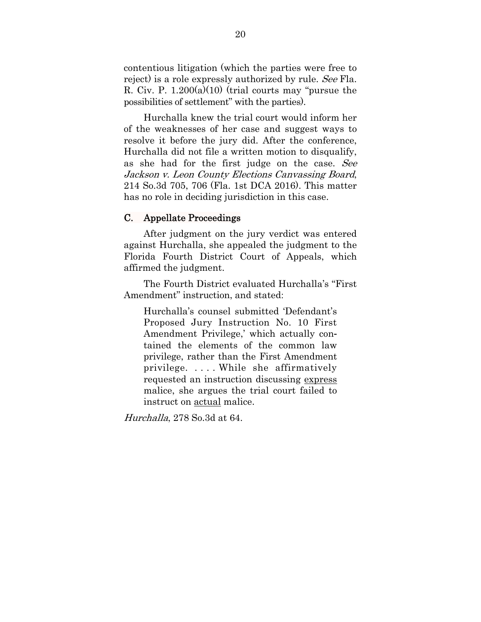contentious litigation (which the parties were free to reject) is a role expressly authorized by rule. See Fla. R. Civ. P.  $1.200(a)(10)$  (trial courts may "pursue the possibilities of settlement" with the parties).

Hurchalla knew the trial court would inform her of the weaknesses of her case and suggest ways to resolve it before the jury did. After the conference, Hurchalla did not file a written motion to disqualify, as she had for the first judge on the case. See Jackson v. Leon County Elections Canvassing Board, 214 So.3d 705, 706 (Fla. 1st DCA 2016). This matter has no role in deciding jurisdiction in this case.

### C. Appellate Proceedings

After judgment on the jury verdict was entered against Hurchalla, she appealed the judgment to the Florida Fourth District Court of Appeals, which affirmed the judgment.

The Fourth District evaluated Hurchalla's "First Amendment" instruction, and stated:

Hurchalla's counsel submitted 'Defendant's Proposed Jury Instruction No. 10 First Amendment Privilege,' which actually contained the elements of the common law privilege, rather than the First Amendment privilege. . . . . While she affirmatively requested an instruction discussing express malice, she argues the trial court failed to instruct on actual malice.

Hurchalla, 278 So.3d at 64.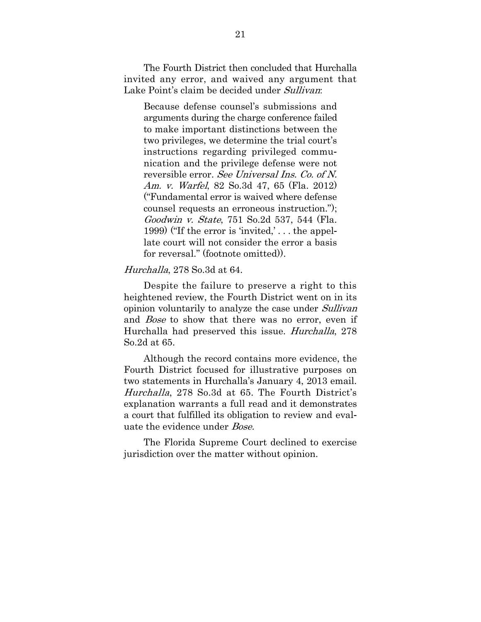The Fourth District then concluded that Hurchalla invited any error, and waived any argument that Lake Point's claim be decided under Sullivan:

Because defense counsel's submissions and arguments during the charge conference failed to make important distinctions between the two privileges, we determine the trial court's instructions regarding privileged communication and the privilege defense were not reversible error. See Universal Ins. Co. of N. Am. v. Warfel, 82 So.3d 47, 65 (Fla. 2012) ("Fundamental error is waived where defense counsel requests an erroneous instruction."); Goodwin v. State, 751 So.2d 537, 544 (Fla. 1999) ("If the error is 'invited,' . . . the appellate court will not consider the error a basis for reversal." (footnote omitted)).

#### Hurchalla, 278 So.3d at 64.

Despite the failure to preserve a right to this heightened review, the Fourth District went on in its opinion voluntarily to analyze the case under Sullivan and Bose to show that there was no error, even if Hurchalla had preserved this issue. Hurchalla, 278 So.2d at 65.

Although the record contains more evidence, the Fourth District focused for illustrative purposes on two statements in Hurchalla's January 4, 2013 email. Hurchalla, 278 So.3d at 65. The Fourth District's explanation warrants a full read and it demonstrates a court that fulfilled its obligation to review and evaluate the evidence under Bose.

The Florida Supreme Court declined to exercise jurisdiction over the matter without opinion.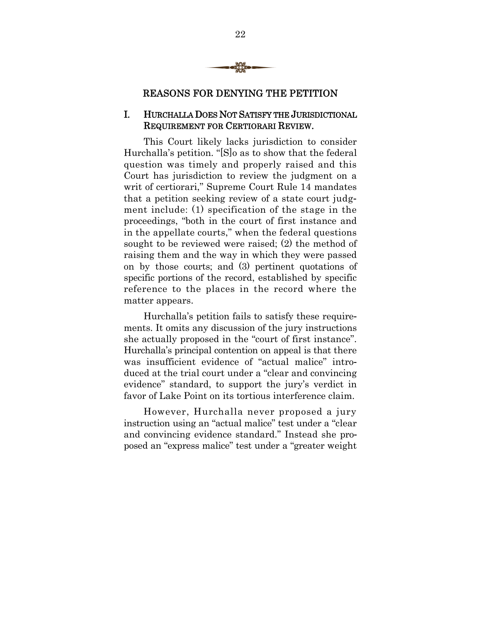

### REASONS FOR DENYING THE PETITION

### I. HURCHALLA DOES NOT SATISFY THE JURISDICTIONAL REQUIREMENT FOR CERTIORARI REVIEW.

This Court likely lacks jurisdiction to consider Hurchalla's petition. "[S]o as to show that the federal question was timely and properly raised and this Court has jurisdiction to review the judgment on a writ of certiorari," Supreme Court Rule 14 mandates that a petition seeking review of a state court judgment include: (1) specification of the stage in the proceedings, "both in the court of first instance and in the appellate courts," when the federal questions sought to be reviewed were raised; (2) the method of raising them and the way in which they were passed on by those courts; and (3) pertinent quotations of specific portions of the record, established by specific reference to the places in the record where the matter appears.

Hurchalla's petition fails to satisfy these requirements. It omits any discussion of the jury instructions she actually proposed in the "court of first instance". Hurchalla's principal contention on appeal is that there was insufficient evidence of "actual malice" introduced at the trial court under a "clear and convincing evidence" standard, to support the jury's verdict in favor of Lake Point on its tortious interference claim.

However, Hurchalla never proposed a jury instruction using an "actual malice" test under a "clear and convincing evidence standard." Instead she proposed an "express malice" test under a "greater weight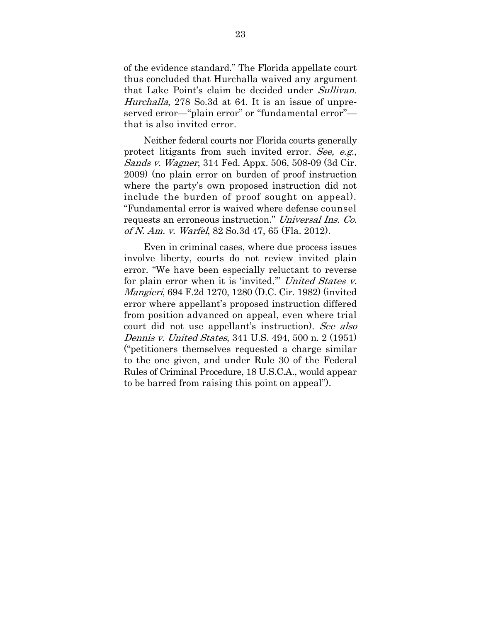of the evidence standard." The Florida appellate court thus concluded that Hurchalla waived any argument that Lake Point's claim be decided under Sullivan. Hurchalla, 278 So.3d at 64. It is an issue of unpreserved error—"plain error" or "fundamental error"that is also invited error.

Neither federal courts nor Florida courts generally protect litigants from such invited error. See, e.g., Sands v. Wagner, 314 Fed. Appx. 506, 508-09 (3d Cir. 2009) (no plain error on burden of proof instruction where the party's own proposed instruction did not include the burden of proof sought on appeal). "Fundamental error is waived where defense counsel requests an erroneous instruction." Universal Ins. Co. of N. Am. v. Warfel, 82 So.3d 47, 65 (Fla. 2012).

Even in criminal cases, where due process issues involve liberty, courts do not review invited plain error. "We have been especially reluctant to reverse for plain error when it is 'invited.'" United States v. Mangieri, 694 F.2d 1270, 1280 (D.C. Cir. 1982) (invited error where appellant's proposed instruction differed from position advanced on appeal, even where trial court did not use appellant's instruction). See also Dennis v. United States, 341 U.S. 494, 500 n. 2 (1951) ("petitioners themselves requested a charge similar to the one given, and under Rule 30 of the Federal Rules of Criminal Procedure, 18 U.S.C.A., would appear to be barred from raising this point on appeal").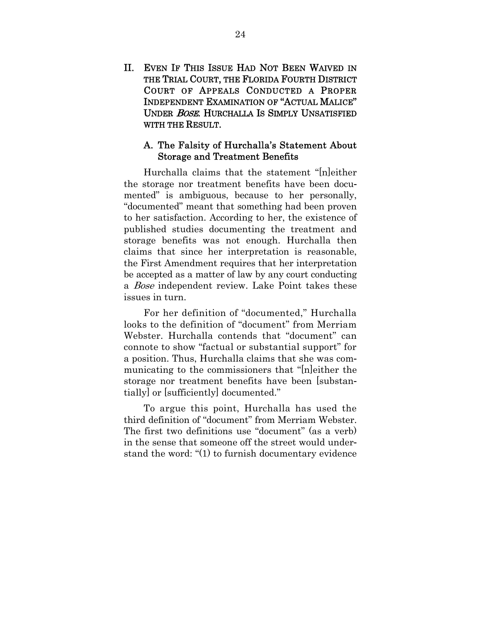II. EVEN IF THIS ISSUE HAD NOT BEEN WAIVED IN THE TRIAL COURT, THE FLORIDA FOURTH DISTRICT COURT OF APPEALS CONDUCTED A PROPER INDEPENDENT EXAMINATION OF "ACTUAL MALICE" UNDER BOSE. HURCHALLA IS SIMPLY UNSATISFIED WITH THE RESULT.

#### A. The Falsity of Hurchalla's Statement About Storage and Treatment Benefits

Hurchalla claims that the statement "[n]either the storage nor treatment benefits have been documented" is ambiguous, because to her personally, "documented" meant that something had been proven to her satisfaction. According to her, the existence of published studies documenting the treatment and storage benefits was not enough. Hurchalla then claims that since her interpretation is reasonable, the First Amendment requires that her interpretation be accepted as a matter of law by any court conducting a Bose independent review. Lake Point takes these issues in turn.

For her definition of "documented," Hurchalla looks to the definition of "document" from Merriam Webster. Hurchalla contends that "document" can connote to show "factual or substantial support" for a position. Thus, Hurchalla claims that she was communicating to the commissioners that "[n]either the storage nor treatment benefits have been [substantially] or [sufficiently] documented."

To argue this point, Hurchalla has used the third definition of "document" from Merriam Webster. The first two definitions use "document" (as a verb) in the sense that someone off the street would understand the word: "(1) to furnish documentary evidence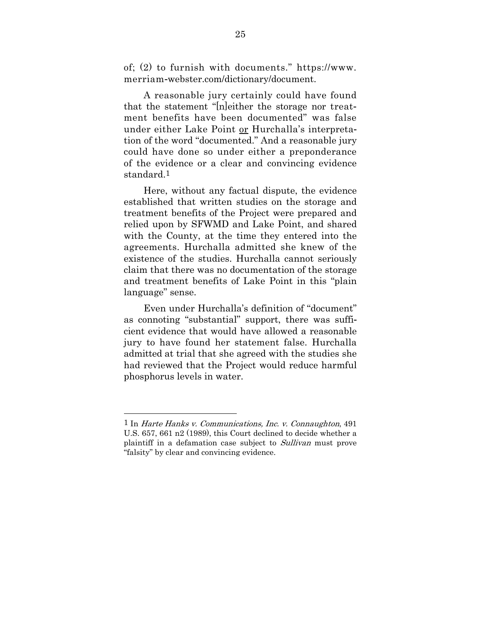of; (2) to furnish with documents." https://www. merriam-webster.com/dictionary/document.

A reasonable jury certainly could have found that the statement "[n]either the storage nor treatment benefits have been documented" was false under either Lake Point or Hurchalla's interpretation of the word "documented." And a reasonable jury could have done so under either a preponderance of the evidence or a clear and convincing evidence standard.1

Here, without any factual dispute, the evidence established that written studies on the storage and treatment benefits of the Project were prepared and relied upon by SFWMD and Lake Point, and shared with the County, at the time they entered into the agreements. Hurchalla admitted she knew of the existence of the studies. Hurchalla cannot seriously claim that there was no documentation of the storage and treatment benefits of Lake Point in this "plain language" sense.

Even under Hurchalla's definition of "document" as connoting "substantial" support, there was sufficient evidence that would have allowed a reasonable jury to have found her statement false. Hurchalla admitted at trial that she agreed with the studies she had reviewed that the Project would reduce harmful phosphorus levels in water.

 $\overline{a}$ 

 $1$  In Harte Hanks v. Communications, Inc. v. Connaughton, 491 U.S. 657, 661 n2 (1989), this Court declined to decide whether a plaintiff in a defamation case subject to Sullivan must prove "falsity" by clear and convincing evidence.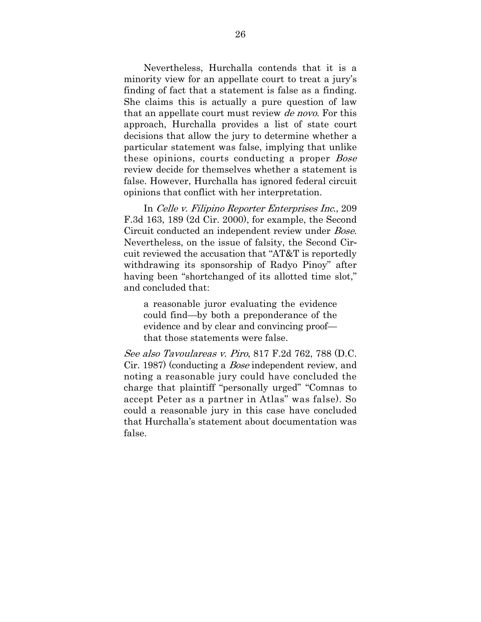Nevertheless, Hurchalla contends that it is a minority view for an appellate court to treat a jury's finding of fact that a statement is false as a finding. She claims this is actually a pure question of law that an appellate court must review *de novo*. For this approach, Hurchalla provides a list of state court decisions that allow the jury to determine whether a particular statement was false, implying that unlike these opinions, courts conducting a proper *Bose* review decide for themselves whether a statement is false. However, Hurchalla has ignored federal circuit opinions that conflict with her interpretation.

In Celle v. Filipino Reporter Enterprises Inc., 209 F.3d 163, 189 (2d Cir. 2000), for example, the Second Circuit conducted an independent review under Bose. Nevertheless, on the issue of falsity, the Second Circuit reviewed the accusation that "AT&T is reportedly withdrawing its sponsorship of Radyo Pinoy" after having been "shortchanged of its allotted time slot," and concluded that:

a reasonable juror evaluating the evidence could find—by both a preponderance of the evidence and by clear and convincing proof that those statements were false.

See also Tavoulareas v. Piro, 817 F.2d 762, 788 (D.C. Cir. 1987) (conducting a Bose independent review, and noting a reasonable jury could have concluded the charge that plaintiff "personally urged" "Comnas to accept Peter as a partner in Atlas" was false). So could a reasonable jury in this case have concluded that Hurchalla's statement about documentation was false.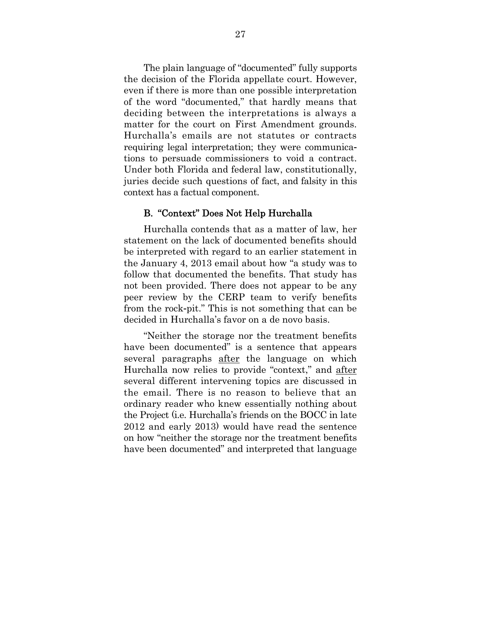The plain language of "documented" fully supports the decision of the Florida appellate court. However, even if there is more than one possible interpretation of the word "documented," that hardly means that deciding between the interpretations is always a matter for the court on First Amendment grounds. Hurchalla's emails are not statutes or contracts requiring legal interpretation; they were communications to persuade commissioners to void a contract. Under both Florida and federal law, constitutionally, juries decide such questions of fact, and falsity in this context has a factual component.

#### B. "Context" Does Not Help Hurchalla

Hurchalla contends that as a matter of law, her statement on the lack of documented benefits should be interpreted with regard to an earlier statement in the January 4, 2013 email about how "a study was to follow that documented the benefits. That study has not been provided. There does not appear to be any peer review by the CERP team to verify benefits from the rock-pit." This is not something that can be decided in Hurchalla's favor on a de novo basis.

"Neither the storage nor the treatment benefits have been documented" is a sentence that appears several paragraphs after the language on which Hurchalla now relies to provide "context," and after several different intervening topics are discussed in the email. There is no reason to believe that an ordinary reader who knew essentially nothing about the Project (i.e. Hurchalla's friends on the BOCC in late 2012 and early 2013) would have read the sentence on how "neither the storage nor the treatment benefits have been documented" and interpreted that language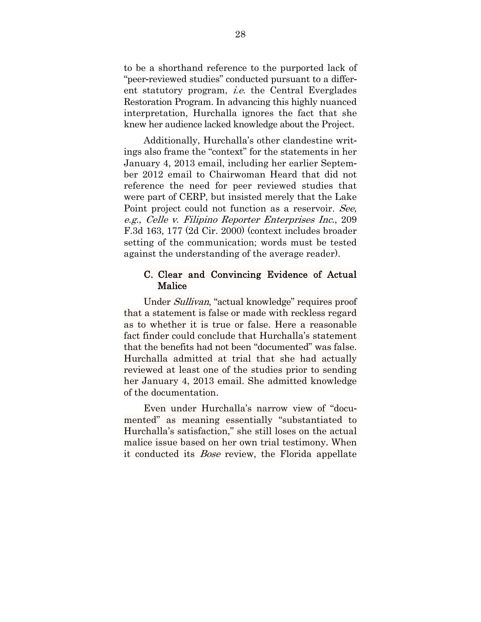to be a shorthand reference to the purported lack of "peer-reviewed studies" conducted pursuant to a different statutory program, *i.e.* the Central Everglades Restoration Program. In advancing this highly nuanced interpretation, Hurchalla ignores the fact that she knew her audience lacked knowledge about the Project.

Additionally, Hurchalla's other clandestine writings also frame the "context" for the statements in her January 4, 2013 email, including her earlier September 2012 email to Chairwoman Heard that did not reference the need for peer reviewed studies that were part of CERP, but insisted merely that the Lake Point project could not function as a reservoir. See, e.g., Celle v. Filipino Reporter Enterprises Inc., 209 F.3d 163, 177 (2d Cir. 2000) (context includes broader setting of the communication; words must be tested against the understanding of the average reader).

#### C. Clear and Convincing Evidence of Actual **Malice**

Under Sullivan, "actual knowledge" requires proof that a statement is false or made with reckless regard as to whether it is true or false. Here a reasonable fact finder could conclude that Hurchalla's statement that the benefits had not been "documented" was false. Hurchalla admitted at trial that she had actually reviewed at least one of the studies prior to sending her January 4, 2013 email. She admitted knowledge of the documentation.

Even under Hurchalla's narrow view of "documented" as meaning essentially "substantiated to Hurchalla's satisfaction," she still loses on the actual malice issue based on her own trial testimony. When it conducted its Bose review, the Florida appellate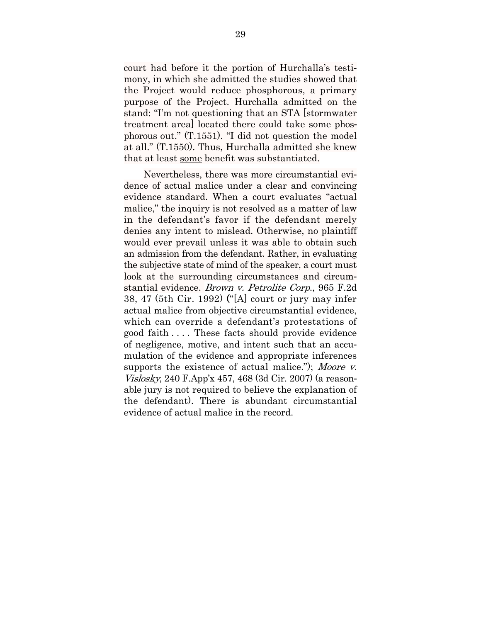court had before it the portion of Hurchalla's testimony, in which she admitted the studies showed that the Project would reduce phosphorous, a primary purpose of the Project. Hurchalla admitted on the stand: "I'm not questioning that an STA [stormwater treatment area] located there could take some phosphorous out." (T.1551). "I did not question the model at all." (T.1550). Thus, Hurchalla admitted she knew that at least some benefit was substantiated.

Nevertheless, there was more circumstantial evidence of actual malice under a clear and convincing evidence standard. When a court evaluates "actual malice," the inquiry is not resolved as a matter of law in the defendant's favor if the defendant merely denies any intent to mislead. Otherwise, no plaintiff would ever prevail unless it was able to obtain such an admission from the defendant. Rather, in evaluating the subjective state of mind of the speaker, a court must look at the surrounding circumstances and circumstantial evidence. Brown v. Petrolite Corp., 965 F.2d 38, 47 (5th Cir. 1992) ("[A] court or jury may infer actual malice from objective circumstantial evidence, which can override a defendant's protestations of good faith . . . . These facts should provide evidence of negligence, motive, and intent such that an accumulation of the evidence and appropriate inferences supports the existence of actual malice."); Moore v. Vislosky, 240 F.App'x 457, 468 (3d Cir. 2007) (a reasonable jury is not required to believe the explanation of the defendant). There is abundant circumstantial evidence of actual malice in the record.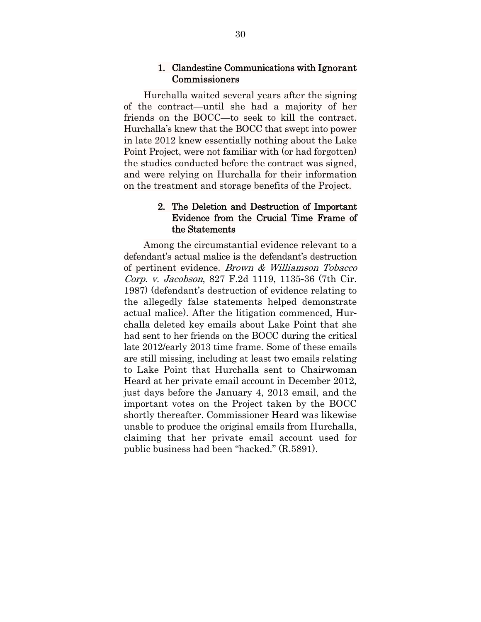#### 1. Clandestine Communications with Ignorant Commissioners

Hurchalla waited several years after the signing of the contract—until she had a majority of her friends on the BOCC—to seek to kill the contract. Hurchalla's knew that the BOCC that swept into power in late 2012 knew essentially nothing about the Lake Point Project, were not familiar with (or had forgotten) the studies conducted before the contract was signed, and were relying on Hurchalla for their information on the treatment and storage benefits of the Project.

#### 2. The Deletion and Destruction of Important Evidence from the Crucial Time Frame of the Statements

Among the circumstantial evidence relevant to a defendant's actual malice is the defendant's destruction of pertinent evidence. Brown & Williamson Tobacco Corp. v. Jacobson, 827 F.2d 1119, 1135-36 (7th Cir. 1987) (defendant's destruction of evidence relating to the allegedly false statements helped demonstrate actual malice). After the litigation commenced, Hurchalla deleted key emails about Lake Point that she had sent to her friends on the BOCC during the critical late 2012/early 2013 time frame. Some of these emails are still missing, including at least two emails relating to Lake Point that Hurchalla sent to Chairwoman Heard at her private email account in December 2012, just days before the January 4, 2013 email, and the important votes on the Project taken by the BOCC shortly thereafter. Commissioner Heard was likewise unable to produce the original emails from Hurchalla, claiming that her private email account used for public business had been "hacked." (R.5891).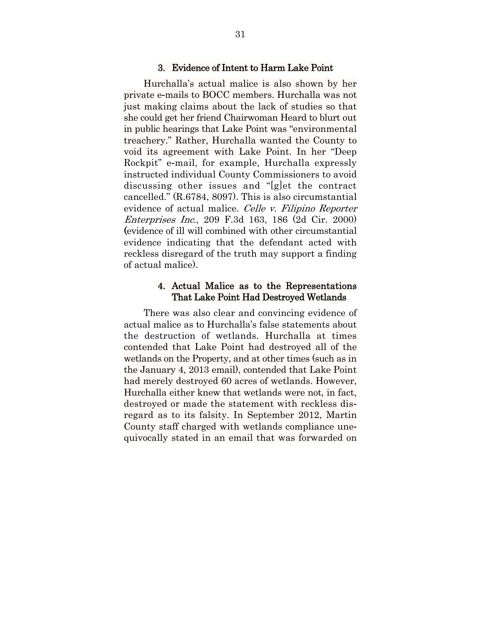#### 3. Evidence of Intent to Harm Lake Point

Hurchalla's actual malice is also shown by her private e-mails to BOCC members. Hurchalla was not just making claims about the lack of studies so that she could get her friend Chairwoman Heard to blurt out in public hearings that Lake Point was "environmental treachery." Rather, Hurchalla wanted the County to void its agreement with Lake Point. In her "Deep Rockpit" e-mail, for example, Hurchalla expressly instructed individual County Commissioners to avoid discussing other issues and "[g]et the contract cancelled." (R.6784, 8097). This is also circumstantial evidence of actual malice. Celle v. Filipino Reporter Enterprises Inc., 209 F.3d 163, 186 (2d Cir. 2000) (evidence of ill will combined with other circumstantial evidence indicating that the defendant acted with reckless disregard of the truth may support a finding of actual malice).

#### 4. Actual Malice as to the Representations That Lake Point Had Destroyed Wetlands

There was also clear and convincing evidence of actual malice as to Hurchalla's false statements about the destruction of wetlands. Hurchalla at times contended that Lake Point had destroyed all of the wetlands on the Property, and at other times (such as in the January 4, 2013 email), contended that Lake Point had merely destroyed 60 acres of wetlands. However, Hurchalla either knew that wetlands were not, in fact, destroyed or made the statement with reckless disregard as to its falsity. In September 2012, Martin County staff charged with wetlands compliance unequivocally stated in an email that was forwarded on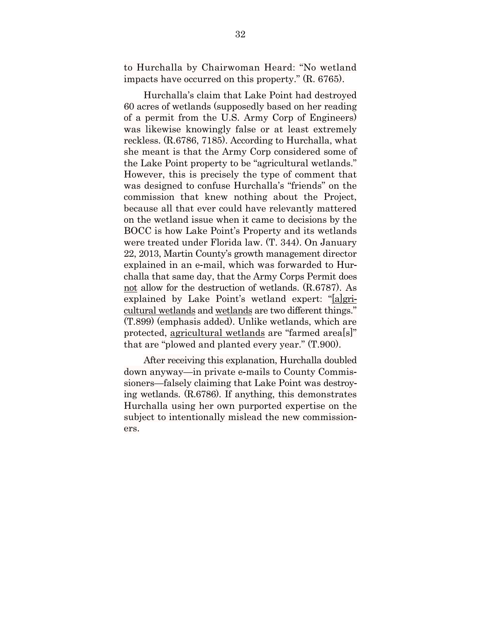to Hurchalla by Chairwoman Heard: "No wetland impacts have occurred on this property." (R. 6765).

Hurchalla's claim that Lake Point had destroyed 60 acres of wetlands (supposedly based on her reading of a permit from the U.S. Army Corp of Engineers) was likewise knowingly false or at least extremely reckless. (R.6786, 7185). According to Hurchalla, what she meant is that the Army Corp considered some of the Lake Point property to be "agricultural wetlands." However, this is precisely the type of comment that was designed to confuse Hurchalla's "friends" on the commission that knew nothing about the Project, because all that ever could have relevantly mattered on the wetland issue when it came to decisions by the BOCC is how Lake Point's Property and its wetlands were treated under Florida law. (T. 344). On January 22, 2013, Martin County's growth management director explained in an e-mail, which was forwarded to Hurchalla that same day, that the Army Corps Permit does not allow for the destruction of wetlands. (R.6787). As explained by Lake Point's wetland expert: "[a]gricultural wetlands and wetlands are two different things." (T.899) (emphasis added). Unlike wetlands, which are protected, agricultural wetlands are "farmed area[s]" that are "plowed and planted every year." (T.900).

After receiving this explanation, Hurchalla doubled down anyway—in private e-mails to County Commissioners—falsely claiming that Lake Point was destroying wetlands. (R.6786). If anything, this demonstrates Hurchalla using her own purported expertise on the subject to intentionally mislead the new commissioners.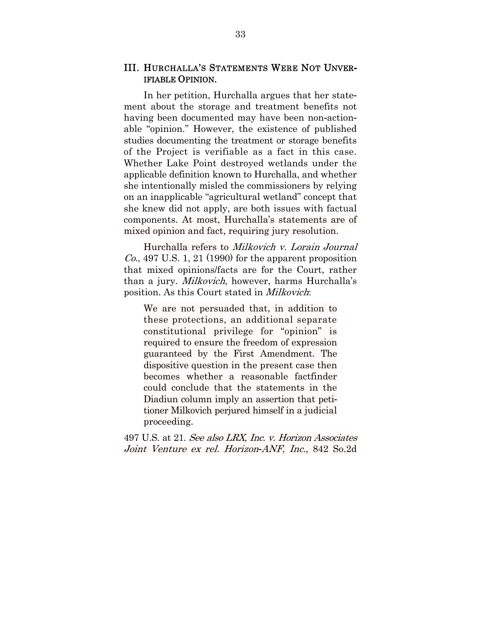#### III. HURCHALLA'S STATEMENTS WERE NOT UNVER**-**IFIABLE OPINION.

In her petition, Hurchalla argues that her statement about the storage and treatment benefits not having been documented may have been non-actionable "opinion." However, the existence of published studies documenting the treatment or storage benefits of the Project is verifiable as a fact in this case. Whether Lake Point destroyed wetlands under the applicable definition known to Hurchalla, and whether she intentionally misled the commissioners by relying on an inapplicable "agricultural wetland" concept that she knew did not apply, are both issues with factual components. At most, Hurchalla's statements are of mixed opinion and fact, requiring jury resolution.

Hurchalla refers to Milkovich v. Lorain Journal  $Co.$  497 U.S. 1, 21 (1990) for the apparent proposition that mixed opinions/facts are for the Court, rather than a jury. *Milkovich*, however, harms Hurchalla's position. As this Court stated in Milkovich:

We are not persuaded that, in addition to these protections, an additional separate constitutional privilege for "opinion" is required to ensure the freedom of expression guaranteed by the First Amendment. The dispositive question in the present case then becomes whether a reasonable factfinder could conclude that the statements in the Diadiun column imply an assertion that petitioner Milkovich perjured himself in a judicial proceeding.

497 U.S. at 21. See also LRX, Inc. v. Horizon Associates Joint Venture ex rel. Horizon*-*ANF, Inc., 842 So.2d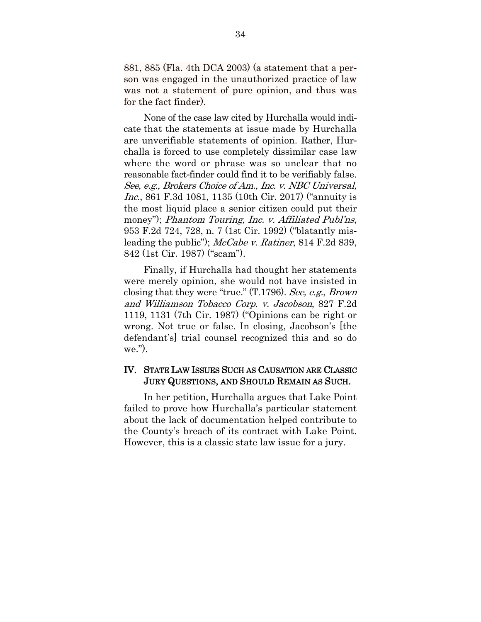881, 885 (Fla. 4th DCA 2003) (a statement that a person was engaged in the unauthorized practice of law was not a statement of pure opinion, and thus was for the fact finder).

None of the case law cited by Hurchalla would indicate that the statements at issue made by Hurchalla are unverifiable statements of opinion. Rather, Hurchalla is forced to use completely dissimilar case law where the word or phrase was so unclear that no reasonable fact-finder could find it to be verifiably false. See, e.g., Brokers Choice of Am., Inc. v. NBC Universal, Inc., 861 F.3d 1081, 1135 (10th Cir. 2017) ("annuity is the most liquid place a senior citizen could put their money"); *Phantom Touring, Inc. v. Affiliated Publ'ns*, 953 F.2d 724, 728, n. 7 (1st Cir. 1992) ("blatantly misleading the public"); McCabe v. Ratiner, 814 F.2d 839, 842 (1st Cir. 1987) ("scam").

Finally, if Hurchalla had thought her statements were merely opinion, she would not have insisted in closing that they were "true." (T.1796). See, e.g., Brown and Williamson Tobacco Corp. v. Jacobson, 827 F.2d 1119, 1131 (7th Cir. 1987) ("Opinions can be right or wrong. Not true or false. In closing, Jacobson's [the defendant's] trial counsel recognized this and so do we.").

#### IV. STATE LAW ISSUES SUCH AS CAUSATION ARE CLASSIC JURY QUESTIONS, AND SHOULD REMAIN AS SUCH.

In her petition, Hurchalla argues that Lake Point failed to prove how Hurchalla's particular statement about the lack of documentation helped contribute to the County's breach of its contract with Lake Point. However, this is a classic state law issue for a jury.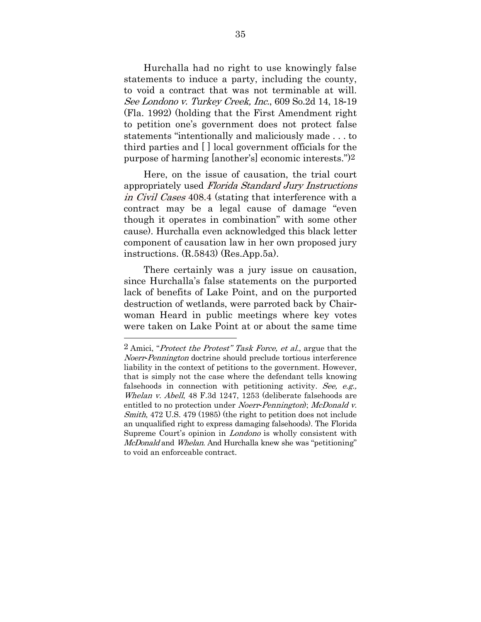Hurchalla had no right to use knowingly false statements to induce a party, including the county, to void a contract that was not terminable at will. See Londono v. Turkey Creek, Inc., 609 So.2d 14, 18-19 (Fla. 1992) (holding that the First Amendment right to petition one's government does not protect false statements "intentionally and maliciously made . . . to third parties and [ ] local government officials for the purpose of harming [another's] economic interests.")2

Here, on the issue of causation, the trial court appropriately used Florida Standard Jury Instructions in Civil Cases 408.4 (stating that interference with a contract may be a legal cause of damage "even though it operates in combination" with some other cause). Hurchalla even acknowledged this black letter component of causation law in her own proposed jury instructions. (R.5843) (Res.App.5a).

There certainly was a jury issue on causation, since Hurchalla's false statements on the purported lack of benefits of Lake Point, and on the purported destruction of wetlands, were parroted back by Chairwoman Heard in public meetings where key votes were taken on Lake Point at or about the same time

l

<sup>2</sup> Amici, "Protect the Protest" Task Force, et al., argue that the Noerr*-*Pennington doctrine should preclude tortious interference liability in the context of petitions to the government. However, that is simply not the case where the defendant tells knowing falsehoods in connection with petitioning activity. See, e.g., Whelan v. Abell, 48 F.3d 1247, 1253 (deliberate falsehoods are entitled to no protection under Noerr*-*Pennington); McDonald v. Smith, 472 U.S. 479 (1985) (the right to petition does not include an unqualified right to express damaging falsehoods). The Florida Supreme Court's opinion in Londono is wholly consistent with McDonald and Whelan. And Hurchalla knew she was "petitioning" to void an enforceable contract.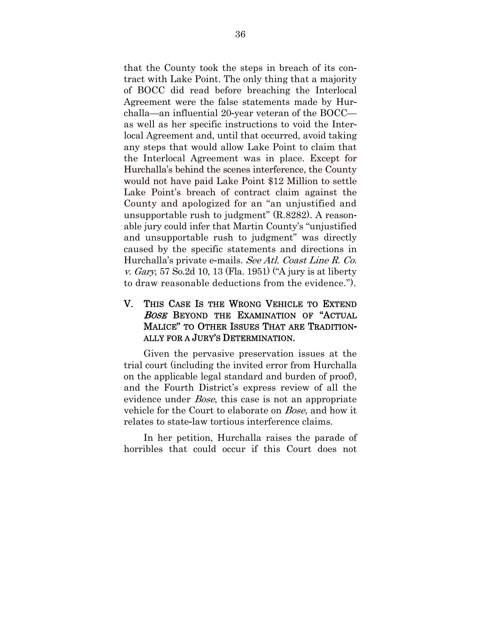that the County took the steps in breach of its contract with Lake Point. The only thing that a majority of BOCC did read before breaching the Interlocal Agreement were the false statements made by Hurchalla—an influential 20-year veteran of the BOCC as well as her specific instructions to void the Interlocal Agreement and, until that occurred, avoid taking any steps that would allow Lake Point to claim that the Interlocal Agreement was in place. Except for Hurchalla's behind the scenes interference, the County would not have paid Lake Point \$12 Million to settle Lake Point's breach of contract claim against the County and apologized for an "an unjustified and unsupportable rush to judgment" (R.8282). A reasonable jury could infer that Martin County's "unjustified and unsupportable rush to judgment" was directly caused by the specific statements and directions in Hurchalla's private e-mails. See Atl. Coast Line R. Co. v. Gary, 57 So.2d 10, 13 (Fla. 1951) ("A jury is at liberty to draw reasonable deductions from the evidence.").

#### V. THIS CASE IS THE WRONG VEHICLE TO EXTEND BOSE BEYOND THE EXAMINATION OF "ACTUAL MALICE" TO OTHER ISSUES THAT ARE TRADITION**-**ALLY FOR A JURY'S DETERMINATION.

Given the pervasive preservation issues at the trial court (including the invited error from Hurchalla on the applicable legal standard and burden of proof), and the Fourth District's express review of all the evidence under *Bose*, this case is not an appropriate vehicle for the Court to elaborate on Bose, and how it relates to state-law tortious interference claims.

In her petition, Hurchalla raises the parade of horribles that could occur if this Court does not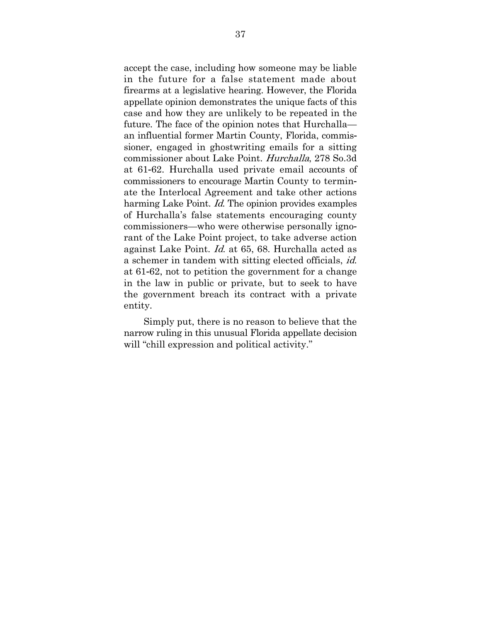accept the case, including how someone may be liable in the future for a false statement made about firearms at a legislative hearing. However, the Florida appellate opinion demonstrates the unique facts of this case and how they are unlikely to be repeated in the future. The face of the opinion notes that Hurchalla an influential former Martin County, Florida, commissioner, engaged in ghostwriting emails for a sitting commissioner about Lake Point. Hurchalla, 278 So.3d at 61-62. Hurchalla used private email accounts of commissioners to encourage Martin County to terminate the Interlocal Agreement and take other actions harming Lake Point. *Id*. The opinion provides examples of Hurchalla's false statements encouraging county commissioners—who were otherwise personally ignorant of the Lake Point project, to take adverse action against Lake Point. Id. at 65, 68. Hurchalla acted as a schemer in tandem with sitting elected officials, id. at 61-62, not to petition the government for a change in the law in public or private, but to seek to have the government breach its contract with a private entity.

Simply put, there is no reason to believe that the narrow ruling in this unusual Florida appellate decision will "chill expression and political activity."